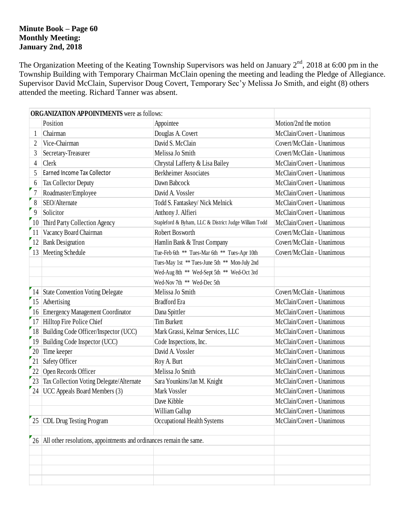### **Minute Book – Page 60 Monthly Meeting: January 2nd, 2018**

The Organization Meeting of the Keating Township Supervisors was held on January  $2<sup>nd</sup>$ , 2018 at 6:00 pm in the Township Building with Temporary Chairman McClain opening the meeting and leading the Pledge of Allegiance. Supervisor David McClain, Supervisor Doug Covert, Temporary Sec'y Melissa Jo Smith, and eight (8) others attended the meeting. Richard Tanner was absent.

|                 | <b>ORGANIZATION APPOINTMENTS</b> were as follows:                      |                                               |                            |  |  |  |  |
|-----------------|------------------------------------------------------------------------|-----------------------------------------------|----------------------------|--|--|--|--|
|                 | Position                                                               | Appointee                                     | Motion/2nd the motion      |  |  |  |  |
| 1               | Chairman                                                               | Douglas A. Covert                             | McClain/Covert - Unanimous |  |  |  |  |
| $\overline{2}$  | Vice-Chairman                                                          | David S. McClain                              | Covert/McClain - Unanimous |  |  |  |  |
| 3               | Secretary-Treasurer                                                    | Melissa Jo Smith                              | Covert/McClain - Unanimous |  |  |  |  |
| $\overline{4}$  | Clerk                                                                  | Chrystal Lafferty & Lisa Bailey               | McClain/Covert - Unanimous |  |  |  |  |
| 5               | Earned Income Tax Collector                                            | <b>Berkheimer Associates</b>                  | McClain/Covert - Unanimous |  |  |  |  |
| 6               | Tax Collector Deputy                                                   | Dawn Babcock                                  | McClain/Covert - Unanimous |  |  |  |  |
|                 | Roadmaster/Employee                                                    | David A. Vossler                              | McClain/Covert - Unanimous |  |  |  |  |
| 8               | SEO/Alternate                                                          | Todd S. Fantaskey/ Nick Melnick               | McClain/Covert - Unanimous |  |  |  |  |
| 9               | Solicitor                                                              | Anthony J. Alfieri                            |                            |  |  |  |  |
|                 | 10 Third Party Collection Agency                                       | McClain/Covert - Unanimous                    |                            |  |  |  |  |
| 11              | Vacancy Board Chairman                                                 | Covert/McClain - Unanimous                    |                            |  |  |  |  |
| 12              | <b>Bank Designation</b>                                                | Hamlin Bank & Trust Company                   | Covert/McClain - Unanimous |  |  |  |  |
| 13              | Meeting Schedule                                                       | Tue-Feb 6th ** Tues-Mar 6th ** Tues-Apr 10th  | Covert/McClain - Unanimous |  |  |  |  |
|                 |                                                                        | Tues-May 1st ** Tues-June 5th ** Mon-July 2nd |                            |  |  |  |  |
|                 |                                                                        | Wed-Aug 8th ** Wed-Sept 5th ** Wed-Oct 3rd    |                            |  |  |  |  |
|                 |                                                                        | Wed-Nov 7th ** Wed-Dec 5th                    |                            |  |  |  |  |
|                 | 14 State Convention Voting Delegate                                    | Melissa Jo Smith                              | Covert/McClain - Unanimous |  |  |  |  |
|                 | 15 Advertising                                                         | <b>Bradford</b> Era                           | McClain/Covert - Unanimous |  |  |  |  |
|                 | 16 Emergency Management Coordinator                                    | Dana Spittler                                 | McClain/Covert - Unanimous |  |  |  |  |
|                 | 17 Hilltop Fire Police Chief                                           | <b>Tim Burkett</b>                            | McClain/Covert - Unanimous |  |  |  |  |
|                 | 18 Building Code Officer/Inspector (UCC)                               | McClain/Covert - Unanimous                    |                            |  |  |  |  |
|                 | 19 Building Code Inspector (UCC)                                       | McClain/Covert - Unanimous                    |                            |  |  |  |  |
| 20              | Time keeper                                                            | David A. Vossler                              | McClain/Covert - Unanimous |  |  |  |  |
| $\overline{21}$ | <b>Safety Officer</b>                                                  | Roy A. Burt                                   | McClain/Covert - Unanimous |  |  |  |  |
| $r_{22}$        | Open Records Officer                                                   | Melissa Jo Smith                              | McClain/Covert - Unanimous |  |  |  |  |
|                 | 23 Tax Collection Voting Delegate/Alternate                            | Sara Younkins/Jan M. Knight                   | McClain/Covert - Unanimous |  |  |  |  |
|                 | 24 UCC Appeals Board Members (3)                                       | Mark Vossler                                  | McClain/Covert - Unanimous |  |  |  |  |
|                 |                                                                        | Dave Kibble                                   | McClain/Covert - Unanimous |  |  |  |  |
|                 |                                                                        | William Gallup                                | McClain/Covert - Unanimous |  |  |  |  |
| 25              | CDL Drug Testing Program                                               | Occupational Health Systems                   | McClain/Covert - Unanimous |  |  |  |  |
|                 |                                                                        |                                               |                            |  |  |  |  |
|                 | 26 All other resolutions, appointments and ordinances remain the same. |                                               |                            |  |  |  |  |
|                 |                                                                        |                                               |                            |  |  |  |  |
|                 |                                                                        |                                               |                            |  |  |  |  |
|                 |                                                                        |                                               |                            |  |  |  |  |
|                 |                                                                        |                                               |                            |  |  |  |  |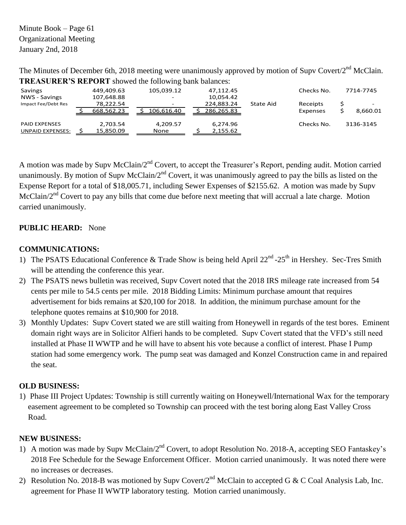Minute Book – Page 61 Organizational Meeting January 2nd, 2018

The Minutes of December 6th, 2018 meeting were unanimously approved by motion of Supv Covert/2<sup>nd</sup> McClain. **TREASURER'S REPORT** showed the following bank balances:

| Savings                 | 449,409.63 | 105,039.12 | 47,112.45  |           | Checks No. | 7714-7745 |
|-------------------------|------------|------------|------------|-----------|------------|-----------|
| NWS - Savings           | 107,648.88 | $\sim$     | 10,054.42  |           |            |           |
| Impact Fee/Debt Res     | 78,222.54  |            | 224,883.24 | State Aid | Receipts   |           |
|                         | 668,562.23 | 106.616.40 | 286,265.83 |           | Expenses   | 8,660.01  |
| <b>PAID EXPENSES</b>    | 2,703.54   | 4,209.57   | 6,274.96   |           | Checks No. | 3136-3145 |
| <b>UNPAID EXPENSES:</b> | 15,850.09  | None       | 2,155.62   |           |            |           |

A motion was made by Supv McClain/2<sup>nd</sup> Covert, to accept the Treasurer's Report, pending audit. Motion carried unanimously. By motion of Supv McClain/2<sup>nd</sup> Covert, it was unanimously agreed to pay the bills as listed on the Expense Report for a total of \$18,005.71, including Sewer Expenses of \$2155.62. A motion was made by Supv McClain/2<sup>nd</sup> Covert to pay any bills that come due before next meeting that will accrual a late charge. Motion carried unanimously.

# **PUBLIC HEARD:** None

# **COMMUNICATIONS:**

- 1) The PSATS Educational Conference & Trade Show is being held April  $22^{nd}$ - $25^{th}$  in Hershey. Sec-Tres Smith will be attending the conference this year.
- 2) The PSATS news bulletin was received, Supv Covert noted that the 2018 IRS mileage rate increased from 54 cents per mile to 54.5 cents per mile. 2018 Bidding Limits: Minimum purchase amount that requires advertisement for bids remains at \$20,100 for 2018. In addition, the minimum purchase amount for the telephone quotes remains at \$10,900 for 2018.
- 3) Monthly Updates: Supv Covert stated we are still waiting from Honeywell in regards of the test bores. Eminent domain right ways are in Solicitor Alfieri hands to be completed. Supv Covert stated that the VFD's still need installed at Phase II WWTP and he will have to absent his vote because a conflict of interest. Phase I Pump station had some emergency work. The pump seat was damaged and Konzel Construction came in and repaired the seat.

## **OLD BUSINESS:**

1) Phase III Project Updates: Township is still currently waiting on Honeywell/International Wax for the temporary easement agreement to be completed so Township can proceed with the test boring along East Valley Cross Road.

## **NEW BUSINESS:**

- 1) A motion was made by Supy McClain/2<sup>nd</sup> Covert, to adopt Resolution No. 2018-A, accepting SEO Fantaskey's 2018 Fee Schedule for the Sewage Enforcement Officer. Motion carried unanimously. It was noted there were no increases or decreases.
- 2) Resolution No. 2018-B was motioned by Supv Covert/2<sup>nd</sup> McClain to accepted G & C Coal Analysis Lab, Inc. agreement for Phase II WWTP laboratory testing. Motion carried unanimously.